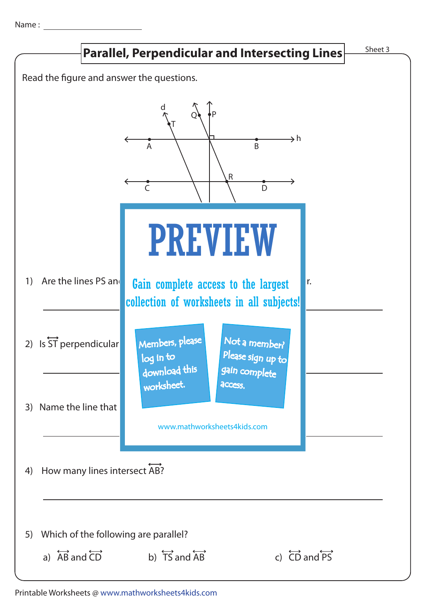Name :